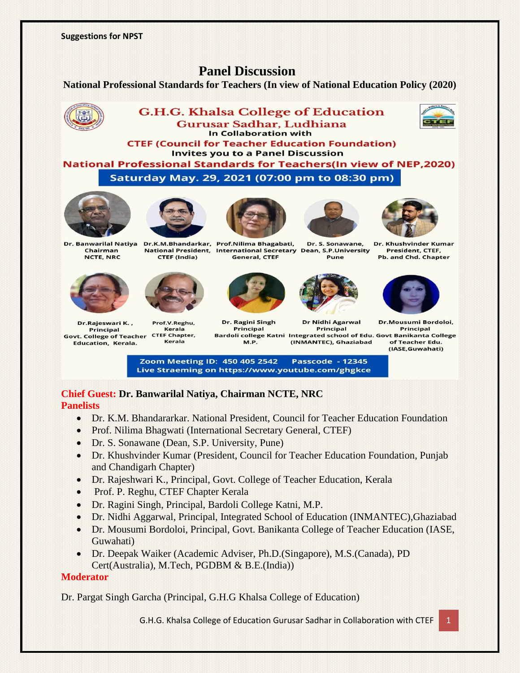# **Panel Discussion**

#### **National Professional Standards for Teachers (In view of National Education Policy (2020)**



Zoom Meeting ID: 450 405 2542 **Passcode - 12345** Live Straeming on https://www.youtube.com/ghgkce

# **Chief Guest: Dr. Banwarilal Natiya, Chairman NCTE, NRC**

## **Panelists**

- Dr. K.M. Bhandararkar, National President, Council for Teacher Education Foundation
- Prof. Nilima Bhagwati (International Secretary General, CTEF)
- Dr. S. Sonawane (Dean, S.P. University, Pune)
- Dr. Khushvinder Kumar (President, Council for Teacher Education Foundation, Punjab and Chandigarh Chapter)
- Dr. Rajeshwari K., Principal, Govt. College of Teacher Education, Kerala
- Prof. P. Reghu, CTEF Chapter Kerala
- Dr. Ragini Singh, Principal, Bardoli College Katni, M.P.
- Dr. Nidhi Aggarwal, Principal, Integrated School of Education (INMANTEC),Ghaziabad
- Dr. Mousumi Bordoloi, Principal, Govt. Banikanta College of Teacher Education (IASE, Guwahati)
- Dr. Deepak Waiker (Academic Adviser, Ph.D.(Singapore), M.S.(Canada), PD Cert(Australia), M.Tech, PGDBM & B.E.(India))

## **Moderator**

Dr. Pargat Singh Garcha (Principal, G.H.G Khalsa College of Education)

G.H.G. Khalsa College of Education Gurusar Sadhar in Collaboration with CTEF 1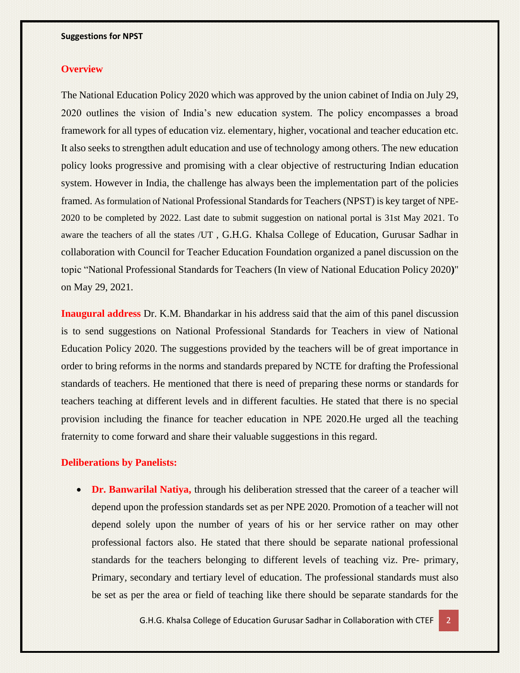#### **Overview**

The National Education Policy 2020 which was approved by the union cabinet of India on July 29, 2020 outlines the vision of India's new education system. The policy encompasses a broad framework for all types of education viz. elementary, higher, vocational and teacher education etc. It also seeks to strengthen adult education and use of technology among others. The new education policy looks progressive and promising with a clear objective of restructuring Indian education system. However in India, the challenge has always been the implementation part of the policies framed. As formulation of National Professional Standards for Teachers (NPST) is key target of NPE-2020 to be completed by 2022. Last date to submit suggestion on national portal is 31st May 2021. To aware the teachers of all the states /UT , G.H.G. Khalsa College of Education, Gurusar Sadhar in collaboration with Council for Teacher Education Foundation organized a panel discussion on the topic "National Professional Standards for Teachers (In view of National Education Policy 2020**)**" on May 29, 2021.

**Inaugural address** Dr. K.M. Bhandarkar in his address said that the aim of this panel discussion is to send suggestions on National Professional Standards for Teachers in view of National Education Policy 2020. The suggestions provided by the teachers will be of great importance in order to bring reforms in the norms and standards prepared by NCTE for drafting the Professional standards of teachers. He mentioned that there is need of preparing these norms or standards for teachers teaching at different levels and in different faculties. He stated that there is no special provision including the finance for teacher education in NPE 2020.He urged all the teaching fraternity to come forward and share their valuable suggestions in this regard.

#### **Deliberations by Panelists:**

• **Dr. Banwarilal Natiya,** through his deliberation stressed that the career of a teacher will depend upon the profession standards set as per NPE 2020. Promotion of a teacher will not depend solely upon the number of years of his or her service rather on may other professional factors also. He stated that there should be separate national professional standards for the teachers belonging to different levels of teaching viz. Pre- primary, Primary, secondary and tertiary level of education. The professional standards must also be set as per the area or field of teaching like there should be separate standards for the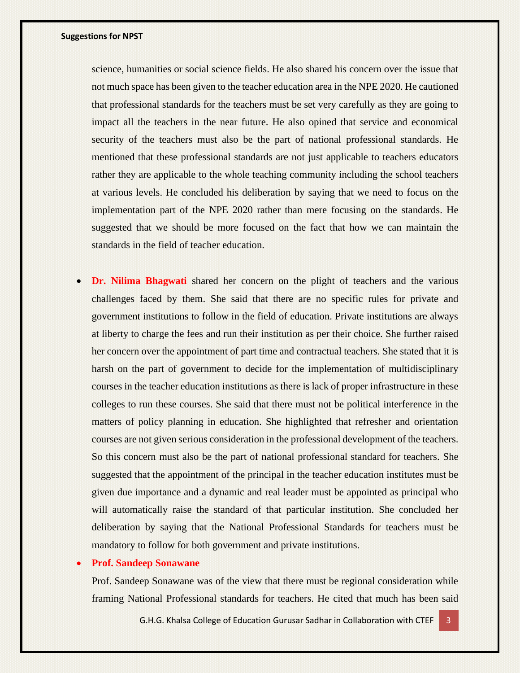science, humanities or social science fields. He also shared his concern over the issue that not much space has been given to the teacher education area in the NPE 2020. He cautioned that professional standards for the teachers must be set very carefully as they are going to impact all the teachers in the near future. He also opined that service and economical security of the teachers must also be the part of national professional standards. He mentioned that these professional standards are not just applicable to teachers educators rather they are applicable to the whole teaching community including the school teachers at various levels. He concluded his deliberation by saying that we need to focus on the implementation part of the NPE 2020 rather than mere focusing on the standards. He suggested that we should be more focused on the fact that how we can maintain the standards in the field of teacher education.

**Dr.** Nilima Bhagwati shared her concern on the plight of teachers and the various challenges faced by them. She said that there are no specific rules for private and government institutions to follow in the field of education. Private institutions are always at liberty to charge the fees and run their institution as per their choice. She further raised her concern over the appointment of part time and contractual teachers. She stated that it is harsh on the part of government to decide for the implementation of multidisciplinary courses in the teacher education institutions as there is lack of proper infrastructure in these colleges to run these courses. She said that there must not be political interference in the matters of policy planning in education. She highlighted that refresher and orientation courses are not given serious consideration in the professional development of the teachers. So this concern must also be the part of national professional standard for teachers. She suggested that the appointment of the principal in the teacher education institutes must be given due importance and a dynamic and real leader must be appointed as principal who will automatically raise the standard of that particular institution. She concluded her deliberation by saying that the National Professional Standards for teachers must be mandatory to follow for both government and private institutions.

#### • **Prof. Sandeep Sonawane**

Prof. Sandeep Sonawane was of the view that there must be regional consideration while framing National Professional standards for teachers. He cited that much has been said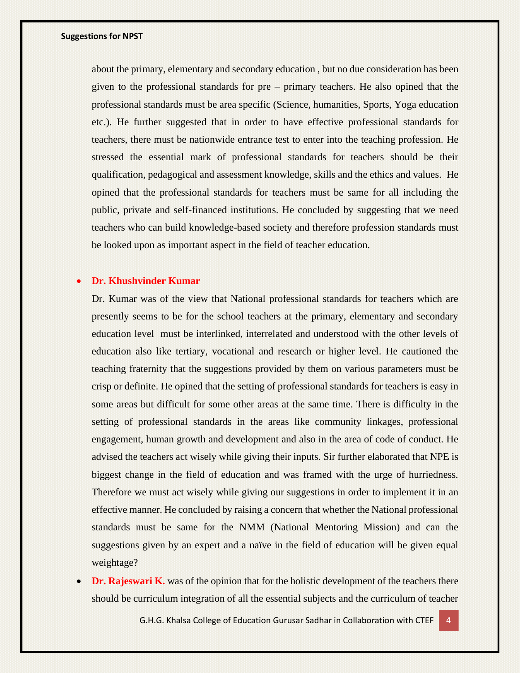about the primary, elementary and secondary education , but no due consideration has been given to the professional standards for pre – primary teachers. He also opined that the professional standards must be area specific (Science, humanities, Sports, Yoga education etc.). He further suggested that in order to have effective professional standards for teachers, there must be nationwide entrance test to enter into the teaching profession. He stressed the essential mark of professional standards for teachers should be their qualification, pedagogical and assessment knowledge, skills and the ethics and values. He opined that the professional standards for teachers must be same for all including the public, private and self-financed institutions. He concluded by suggesting that we need teachers who can build knowledge-based society and therefore profession standards must be looked upon as important aspect in the field of teacher education.

#### • **Dr. Khushvinder Kumar**

Dr. Kumar was of the view that National professional standards for teachers which are presently seems to be for the school teachers at the primary, elementary and secondary education level must be interlinked, interrelated and understood with the other levels of education also like tertiary, vocational and research or higher level. He cautioned the teaching fraternity that the suggestions provided by them on various parameters must be crisp or definite. He opined that the setting of professional standards for teachers is easy in some areas but difficult for some other areas at the same time. There is difficulty in the setting of professional standards in the areas like community linkages, professional engagement, human growth and development and also in the area of code of conduct. He advised the teachers act wisely while giving their inputs. Sir further elaborated that NPE is biggest change in the field of education and was framed with the urge of hurriedness. Therefore we must act wisely while giving our suggestions in order to implement it in an effective manner. He concluded by raising a concern that whether the National professional standards must be same for the NMM (National Mentoring Mission) and can the suggestions given by an expert and a naïve in the field of education will be given equal weightage?

**Dr. Rajeswari K.** was of the opinion that for the holistic development of the teachers there should be curriculum integration of all the essential subjects and the curriculum of teacher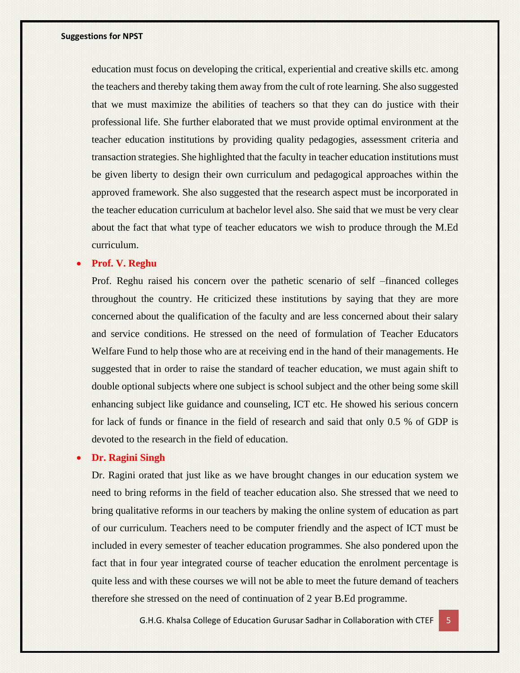education must focus on developing the critical, experiential and creative skills etc. among the teachers and thereby taking them away from the cult of rote learning. She also suggested that we must maximize the abilities of teachers so that they can do justice with their professional life. She further elaborated that we must provide optimal environment at the teacher education institutions by providing quality pedagogies, assessment criteria and transaction strategies. She highlighted that the faculty in teacher education institutions must be given liberty to design their own curriculum and pedagogical approaches within the approved framework. She also suggested that the research aspect must be incorporated in the teacher education curriculum at bachelor level also. She said that we must be very clear about the fact that what type of teacher educators we wish to produce through the M.Ed curriculum.

#### • **Prof. V. Reghu**

Prof. Reghu raised his concern over the pathetic scenario of self –financed colleges throughout the country. He criticized these institutions by saying that they are more concerned about the qualification of the faculty and are less concerned about their salary and service conditions. He stressed on the need of formulation of Teacher Educators Welfare Fund to help those who are at receiving end in the hand of their managements. He suggested that in order to raise the standard of teacher education, we must again shift to double optional subjects where one subject is school subject and the other being some skill enhancing subject like guidance and counseling, ICT etc. He showed his serious concern for lack of funds or finance in the field of research and said that only 0.5 % of GDP is devoted to the research in the field of education.

#### • **Dr. Ragini Singh**

Dr. Ragini orated that just like as we have brought changes in our education system we need to bring reforms in the field of teacher education also. She stressed that we need to bring qualitative reforms in our teachers by making the online system of education as part of our curriculum. Teachers need to be computer friendly and the aspect of ICT must be included in every semester of teacher education programmes. She also pondered upon the fact that in four year integrated course of teacher education the enrolment percentage is quite less and with these courses we will not be able to meet the future demand of teachers therefore she stressed on the need of continuation of 2 year B.Ed programme.

G.H.G. Khalsa College of Education Gurusar Sadhar in Collaboration with CTEF 5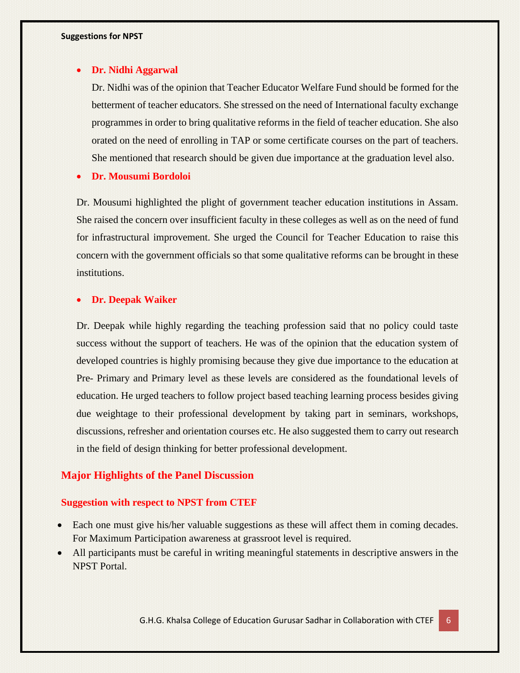#### • **Dr. Nidhi Aggarwal**

Dr. Nidhi was of the opinion that Teacher Educator Welfare Fund should be formed for the betterment of teacher educators. She stressed on the need of International faculty exchange programmes in order to bring qualitative reforms in the field of teacher education. She also orated on the need of enrolling in TAP or some certificate courses on the part of teachers. She mentioned that research should be given due importance at the graduation level also.

• **Dr. Mousumi Bordoloi**

Dr. Mousumi highlighted the plight of government teacher education institutions in Assam. She raised the concern over insufficient faculty in these colleges as well as on the need of fund for infrastructural improvement. She urged the Council for Teacher Education to raise this concern with the government officials so that some qualitative reforms can be brought in these institutions.

## • **Dr. Deepak Waiker**

Dr. Deepak while highly regarding the teaching profession said that no policy could taste success without the support of teachers. He was of the opinion that the education system of developed countries is highly promising because they give due importance to the education at Pre- Primary and Primary level as these levels are considered as the foundational levels of education. He urged teachers to follow project based teaching learning process besides giving due weightage to their professional development by taking part in seminars, workshops, discussions, refresher and orientation courses etc. He also suggested them to carry out research in the field of design thinking for better professional development.

## **Major Highlights of the Panel Discussion**

#### **Suggestion with respect to NPST from CTEF**

- Each one must give his/her valuable suggestions as these will affect them in coming decades. For Maximum Participation awareness at grassroot level is required.
- All participants must be careful in writing meaningful statements in descriptive answers in the NPST Portal.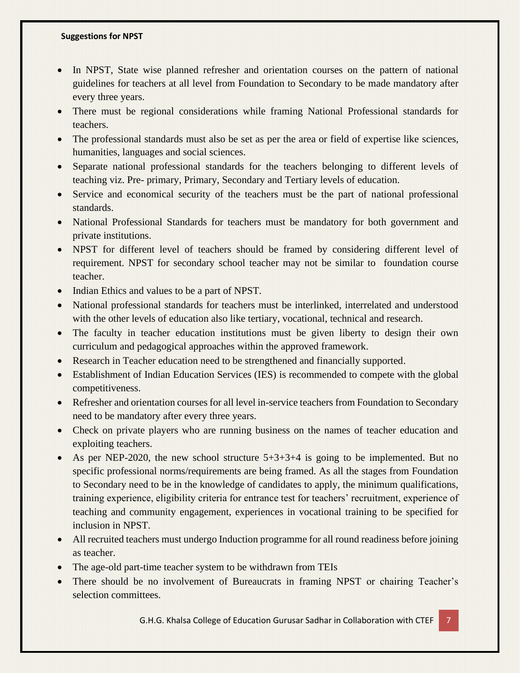- In NPST, State wise planned refresher and orientation courses on the pattern of national guidelines for teachers at all level from Foundation to Secondary to be made mandatory after every three years.
- There must be regional considerations while framing National Professional standards for teachers.
- The professional standards must also be set as per the area or field of expertise like sciences, humanities, languages and social sciences.
- Separate national professional standards for the teachers belonging to different levels of teaching viz. Pre- primary, Primary, Secondary and Tertiary levels of education.
- Service and economical security of the teachers must be the part of national professional standards.
- National Professional Standards for teachers must be mandatory for both government and private institutions.
- NPST for different level of teachers should be framed by considering different level of requirement. NPST for secondary school teacher may not be similar to foundation course teacher.
- Indian Ethics and values to be a part of NPST.
- National professional standards for teachers must be interlinked, interrelated and understood with the other levels of education also like tertiary, vocational, technical and research.
- The faculty in teacher education institutions must be given liberty to design their own curriculum and pedagogical approaches within the approved framework.
- Research in Teacher education need to be strengthened and financially supported.
- Establishment of Indian Education Services (IES) is recommended to compete with the global competitiveness.
- Refresher and orientation courses for all level in-service teachers from Foundation to Secondary need to be mandatory after every three years.
- Check on private players who are running business on the names of teacher education and exploiting teachers.
- As per NEP-2020, the new school structure  $5+3+3+4$  is going to be implemented. But no specific professional norms/requirements are being framed. As all the stages from Foundation to Secondary need to be in the knowledge of candidates to apply, the minimum qualifications, training experience, eligibility criteria for entrance test for teachers' recruitment, experience of teaching and community engagement, experiences in vocational training to be specified for inclusion in NPST.
- All recruited teachers must undergo Induction programme for all round readiness before joining as teacher.
- The age-old part-time teacher system to be withdrawn from TEIs
- There should be no involvement of Bureaucrats in framing NPST or chairing Teacher's selection committees.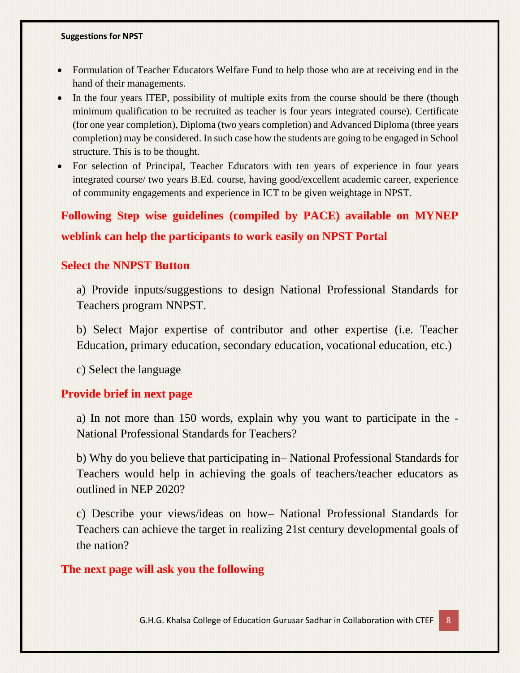- Formulation of Teacher Educators Welfare Fund to help those who are at receiving end in the hand of their managements.
- In the four years ITEP, possibility of multiple exits from the course should be there (though minimum qualification to be recruited as teacher is four years integrated course). Certificate (for one year completion), Diploma (two years completion) and Advanced Diploma (three years completion) may be considered. In such case how the students are going to be engaged in School structure. This is to be thought.
- For selection of Principal, Teacher Educators with ten years of experience in four years integrated course/ two years B.Ed. course, having good/excellent academic career, experience of community engagements and experience in ICT to be given weightage in NPST.

# **Following Step wise guidelines (compiled by PACE) available on MYNEP weblink can help the participants to work easily on NPST Portal**

## **Select the NNPST Button**

a) Provide inputs/suggestions to design National Professional Standards for Teachers program NNPST.

b) Select Major expertise of contributor and other expertise (i.e. Teacher Education, primary education, secondary education, vocational education, etc.)

c) Select the language

## **Provide brief in next page**

a) In not more than 150 words, explain why you want to participate in the - National Professional Standards for Teachers?

b) Why do you believe that participating in– National Professional Standards for Teachers would help in achieving the goals of teachers/teacher educators as outlined in NEP 2020?

c) Describe your views/ideas on how– National Professional Standards for Teachers can achieve the target in realizing 21st century developmental goals of the nation?

## **The next page will ask you the following**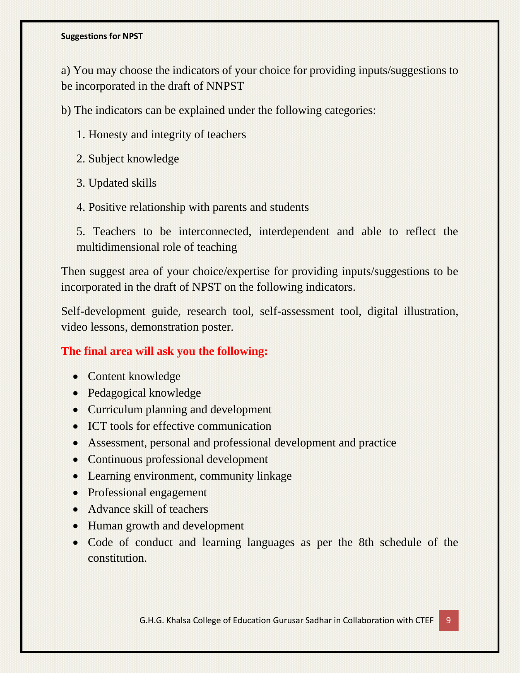a) You may choose the indicators of your choice for providing inputs/suggestions to be incorporated in the draft of NNPST

b) The indicators can be explained under the following categories:

- 1. Honesty and integrity of teachers
- 2. Subject knowledge
- 3. Updated skills
- 4. Positive relationship with parents and students

5. Teachers to be interconnected, interdependent and able to reflect the multidimensional role of teaching

Then suggest area of your choice/expertise for providing inputs/suggestions to be incorporated in the draft of NPST on the following indicators.

Self-development guide, research tool, self-assessment tool, digital illustration, video lessons, demonstration poster.

# **The final area will ask you the following:**

- Content knowledge
- Pedagogical knowledge
- Curriculum planning and development
- ICT tools for effective communication
- Assessment, personal and professional development and practice
- Continuous professional development
- Learning environment, community linkage
- Professional engagement
- Advance skill of teachers
- Human growth and development
- Code of conduct and learning languages as per the 8th schedule of the constitution.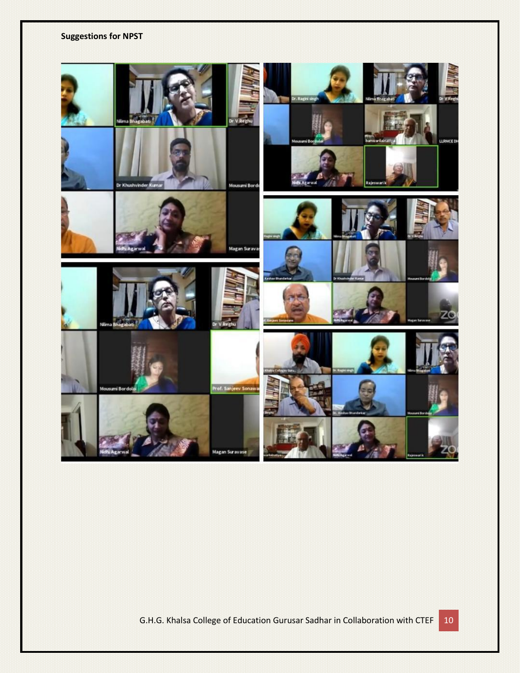

G.H.G. Khalsa College of Education Gurusar Sadhar in Collaboration with CTEF 10